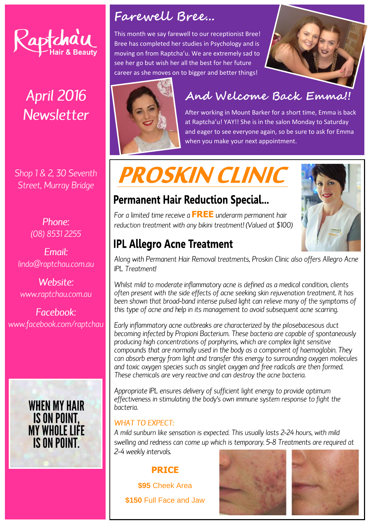

# **April 2016 Newsletter**

Shop 1 & 2, 30 Seventh Street, Murray Bridge

> Phone: (08) 8531 2255

Fmail: linda@raptchau.com.au

Website: www.raptchau.com.au

Facebook: www.facebook.com/raptchau



### **Farewell Bree...**

This month we say farewell to our receptionist Bree! Bree has completed her studies in Psychology and is moving on from Raptcha'u. We are extremely sad to see her go but wish her all the best for her future career as she moves on to bigger and better things!





# **And Welcome Back Emma!!**

After working in Mount Barker for a short time, Emma is back at Raptcha'u! YAY!! She is in the salon Monday to Saturday and eager to see everyone again, so be sure to ask for Emma when you make your next appointment.

# **PROSKIN CLINIC**

### **Permanent Hair Reduction Special...**

For a limited time receive a **FREE** underarm permanent hair reduction treatment with any bikini treatment! (Valued at \$100)

### **IPL Allegro Acne Treatment**

Along with Permanent Hair Removal treatments, Proskin Clinic also offers Allegro Acne **IPL** Treatment!

Whilst mild to moderate inflammatory acne is defined as a medical condition, clients often present with the side effects of acne seeking skin rejuvenation treatment. It has been shown that broad-band intense pulsed light can relieve many of the symptoms of this type of acne and help in its management to avoid subsequent acne scarring.

Early inflammatory acne outbreaks are characterized by the pilosebacesous duct becoming infected by Propioni Bacterium. These bacteria are capable of spontaneously producing high concentrations of porphyrins, which are complex light sensitive compounds that are normally used in the body as a component of haemoglobin. They can absorb energy from light and transfer this energy to surrounding oxygen molecules and toxic oxygen species such as singlet oxygen and free radicals are then formed. These chemicals are very reactive and can destroy the acne bacteria.

Appropriate IPL ensures delivery of sufficient light energy to provide optimum effectiveness in stimulating the body's own immune system response to fight the hacteria

#### **WHAT TO EXPECT:**

A mild sunburn like sensation is expected. This usually lasts 2-24 hours, with mild swelling and redness can come up which is temporary. 5-8 Treatments are required at 2-4 weekly intervals.

#### **PRICE**

**\$95** Cheek Area **\$150** Full Face and Jaw